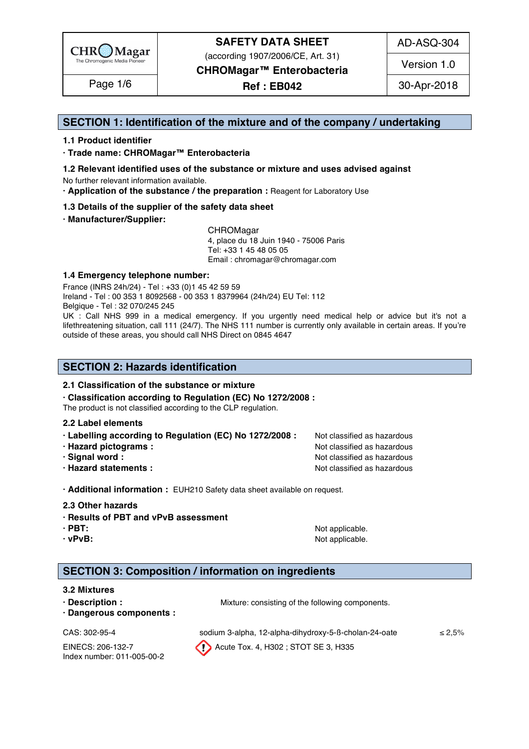

(according 1907/2006/CE, Art. 31)

AD-ASQ-304

Version 1.0

**CHROMagar™ Enterobacteria** 

**Ref : EB042**

## **SECTION 1: Identification of the mixture and of the company / undertaking** 1

#### **1.1 Product identifier** 2

**· Trade name: CHROMagar™ Enterobacteria** 3

- **1.2 Relevant identified uses of the substance or mixture and uses advised against** 4 No further relevant information available. 5
- **· Application of the substance / the preparation :** Reagent for Laboratory Use 6

#### **1.3 Details of the supplier of the safety data sheet** 7

**· Manufacturer/Supplier:** 8

CHROMagar 9 4, place du 18 Juin 1940 - 75006 Paris 10 Tel: +33 1 45 48 05 05 11 Email : chromagar@chromagar.com 12

#### **1.4 Emergency telephone number:**  $\blacksquare$  **1.4 Emergency telephone number:**

France (INRS 24h/24) - Tel : +33 (0)1 45 42 59 59 Ireland - Tel: 00 353 1 8092568 - 00 353 1 8379964 (24h/24) EU Tel: 112 Belgique - Tel : 32 070/245 245 16

UK : Call NHS 999 in a medical emergency. If you urgently need medical help or advice but it's not a 17 lifethreatening situation, call 111 (24/7). The NHS 111 number is currently only available in certain areas. If you're outside of these areas, you should call NHS Direct on 0845 4647

# **SECTION 2: Hazards identification** 22

#### **2.1 Classification of the substance or mixture** 23

**· Classification according to Regulation (EC) No 1272/2008 :** 24

The product is not classified according to the CLP regulation.

#### **2.2 Label elements** 26

- **· Labelling according to Regulation (EC) No 1272/2008 :** Not classified as hazardous 27
- 
- 
- 

**· Hazard pictograms :** Not classified as hazardous 28 and 28 and 28 and 28 and 28 and 28 and 28 and 28 and 28 and 28 and 28 and 28 and 28 and 28 and 28 and 28 and 28 and 28 and 28 and 28 and 28 and 28 and 28 and 28 and 28 **· Signal word :** Not classified as hazardous 29 and 200 **Note 200 and 200 and 200 and 200 and 200 and 200 and 200 and 200 and 200 and 200 and 200 and 200 and 200 and 200 and 200 and 200 and 200 and 200 and 200 and 200 and · Hazard statements :** Not classified as hazardous 30 and 30 and 30 and 30 and 30 and 30 and 30 and 30 and 30 and 30 and 30 and 30 and 30 and 30 and 30 and 30 and 30 and 30 and 30 and 30 and 30 and 30 and 30 and 30 and 30

**· Additional information :** EUH210 Safety data sheet available on request. 32

#### **2.3 Other hazards** 33

- **· Results of PBT and vPvB assessment** 34
- 
- 

**· PBT:** Not applicable. 35 **· vPvB:**  $\bullet$  **· Note** applicable. 36 *Note* **applicable.** 36 *Note* **applicable.** 36 *Note* **applicable. 36 <b>***Note* 36 *Note* 36 *Note* 36 *Note* 36 *Note* 36 *Note* 36 *Note* 36 *Note* 36 *Note* 36

# **SECTION 3: Composition / information on ingredients**

#### **3.2 Mixtures** 40

- **· Description :** Mixture: consisting of the following components. 41
- **· Dangerous components :** 42

Index number: 011-005-00-2

CAS:  $302-95-4$  sodium 3-alpha, 12-alpha-dihydroxy-5-B-cholan-24-oate  $\leq 2.5\%$ EINECS: 206-132-7 Acute Tox. 4, H302 ; STOT SE 3, H335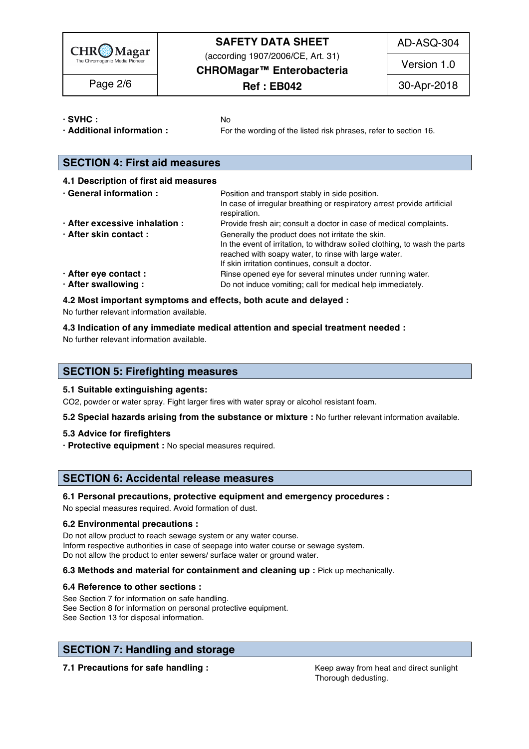

(according 1907/2006/CE, Art. 31)

AD-ASQ-304

**CHROMagar™ Enterobacteria Ref : EB042**

Version 1.0

Page 2/6 2018 **Ref: EB042** 30-Apr-2018

**· SVHC :** No 45

**· Additional information :** For the wording of the listed risk phrases, refer to section 16. 46

# **SECTION 4: First aid measures** 49

| 4.1 Description of first aid measures |                                                                                                                                                                                                                                            |
|---------------------------------------|--------------------------------------------------------------------------------------------------------------------------------------------------------------------------------------------------------------------------------------------|
| · General information :               | Position and transport stably in side position.<br>In case of irregular breathing or respiratory arrest provide artificial<br>respiration                                                                                                  |
| · After excessive inhalation :        | Provide fresh air; consult a doctor in case of medical complaints.                                                                                                                                                                         |
| · After skin contact:                 | Generally the product does not irritate the skin.<br>In the event of irritation, to withdraw soiled clothing, to wash the parts<br>reached with soapy water, to rinse with large water.<br>If skin irritation continues, consult a doctor. |
| · After eye contact :                 | Rinse opened eye for several minutes under running water.                                                                                                                                                                                  |
| · After swallowing:                   | Do not induce vomiting; call for medical help immediately.                                                                                                                                                                                 |

#### **4.2 Most important symptoms and effects, both acute and delayed :** 61

No further relevant information available. 62

**4.3 Indication of any immediate medical attention and special treatment needed :** 63

No further relevant information available. 64

### **SECTION 5: Firefighting measures**

#### **5.1 Suitable extinguishing agents:** 68

CO2, powder or water spray. Fight larger fires with water spray or alcohol resistant foam.

**5.2 Special hazards arising from the substance or mixture :** No further relevant information available. 70

#### **5.3 Advice for firefighters** 71

**· Protective equipment :** No special measures required. 72

### **SECTION 6: Accidental release measures**

#### **6.1 Personal precautions, protective equipment and emergency procedures :** 76

No special measures required. Avoid formation of dust.

#### **6.2 Environmental precautions :** 78

Do not allow product to reach sewage system or any water course. Inform respective authorities in case of seepage into water course or sewage system. Do not allow the product to enter sewers/ surface water or ground water.

#### **6.3 Methods and material for containment and cleaning up : Pick up mechanically.**

#### **6.4 Reference to other sections :** 83

See Section 7 for information on safe handling. See Section 8 for information on personal protective equipment.<br>See Section 13 for disposal information. See Section 13 for disposal information. 86 and 20 kg and 20 kg and 20 kg and 20 kg and 20 kg and 20 kg and 20 kg and 20 kg and 20 kg and 20 kg and 20 kg and 20 kg and 20 kg and 20 kg and 20 kg and 20 kg and 20 kg and 20 k

# **SECTION 7: Handling and storage**

**7.1 Precautions for safe handling : Keep away from heat and direct sunlight** 90.

Thorough dedusting.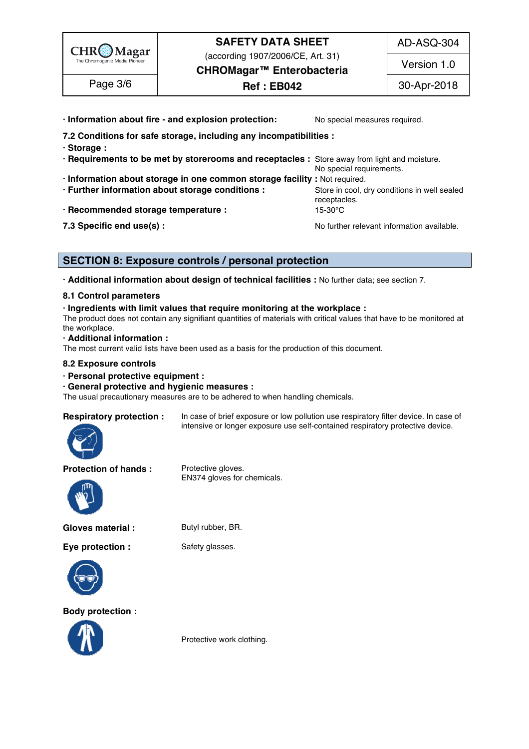

(according 1907/2006/CE, Art. 31)

AD-ASQ-304

Version 1.0

**CHROMagar™ Enterobacteria Ref : EB042**

Page 3/6 2018 **Ref: EB042** 30-Apr-2018

**· Information about fire - and explosion protection:** No special measures required. **7.2 Conditions for safe storage, including any incompatibilities :** 93 **· Storage :** 94 **· Requirements to be met by storerooms and receptacles :** Store away from light and moisture. 95 No special requirements. **· Information about storage in one common storage facility :** Not required. 97 **· Further information about storage conditions : Store in cool, dry conditions in well sealed** receptacles. **999** and 2009 and 2009 and 2009 and 2009 and 2009 and 2009 and 2009 and 2009 and 2009 and 2009 and **· Recommended storage temperature :** 15-30°C **7.3 Specific end use(s) : No further relevant information available.** 1011 **No further relevant information available.** 

# **SECTION 8: Exposure controls / personal protection**

**· Additional information about design of technical facilities :** No further data; see section 7. 106

### **8.1 Control parameters** 107

### **· Ingredients with limit values that require monitoring at the workplace :** 108

The product does not contain any signifiant quantities of materials with critical values that have to be monitored at the workplace. the workplace. The matrix of the control of the control of the control of the control of the control of the control of the control of the control of the control of the control of the control of the control of the control o

#### **· Additional information :** 111

The most current valid lists have been used as a basis for the production of this document.

#### **8.2 Exposure controls** 113

#### **· Personal protective equipment :** 114

#### **· General protective and hygienic measures :** 115

The usual precautionary measures are to be adhered to when handling chemicals.

**Respiratory protection :** In case of brief exposure or low pollution use respiratory filter device. In case of intensive or longer exposure use self-contained respiratory protective device.



**Protection of hands :** Protective gloves.

EN374 gloves for chemicals.



**Gloves material :** Butyl rubber, BR.

**Eye protection :** Safety glasses.



**Body protection :**



Protective work clothing.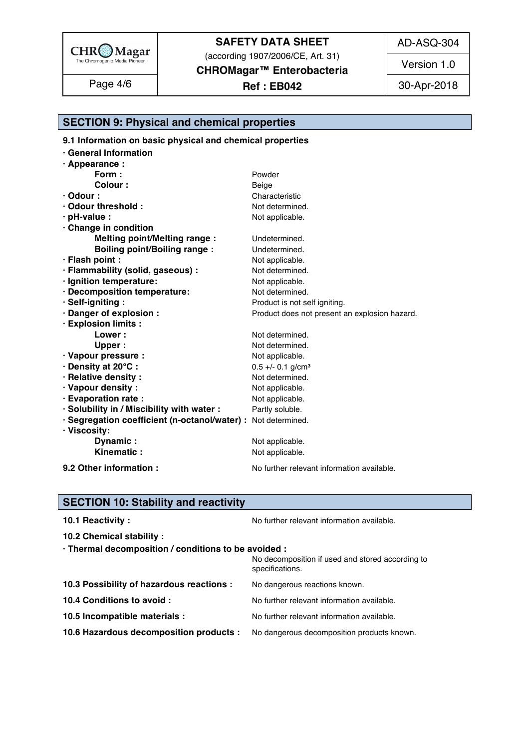

(according 1907/2006/CE, Art. 31)

**CHROMagar™ Enterobacteria** 

# Page 4/6 | **Ref : EB042** 30-Apr-2018

AD-ASQ-304

Version 1.0

| ----<br><b>SECTION 9: Phy</b><br>al and chemical properties<br>$\mathbf{w}$ . The state<br>$\overline{ }$ . FilySical |  |  |  |  |  |
|-----------------------------------------------------------------------------------------------------------------------|--|--|--|--|--|
|-----------------------------------------------------------------------------------------------------------------------|--|--|--|--|--|

**9.1 Information on basic physical and chemical properties** 

| <b>General Information</b>                                                    |                                               |  |
|-------------------------------------------------------------------------------|-----------------------------------------------|--|
| · Appearance :                                                                |                                               |  |
| Form:                                                                         | Powder                                        |  |
| Colour:                                                                       | Beige                                         |  |
| $\cdot$ Odour :                                                               | Characteristic                                |  |
| · Odour threshold:                                                            | Not determined.                               |  |
| · pH-value :                                                                  | Not applicable.                               |  |
| Change in condition                                                           |                                               |  |
| <b>Melting point/Melting range:</b>                                           | Undetermined.                                 |  |
| <b>Boiling point/Boiling range:</b>                                           | Undetermined.                                 |  |
| · Flash point :                                                               | Not applicable.                               |  |
| · Flammability (solid, gaseous) :                                             | Not determined.                               |  |
| · Ignition temperature:                                                       | Not applicable.                               |  |
| · Decomposition temperature:                                                  | Not determined.                               |  |
| · Self-igniting:                                                              | Product is not self igniting.                 |  |
| · Danger of explosion :                                                       | Product does not present an explosion hazard. |  |
| · Explosion limits :                                                          |                                               |  |
| <b>Lower:</b>                                                                 | Not determined.                               |  |
| Upper:                                                                        | Not determined.                               |  |
| · Vapour pressure :                                                           | Not applicable.                               |  |
| · Density at 20°C:                                                            | $0.5 +/- 0.1$ g/cm <sup>3</sup>               |  |
| · Relative density:                                                           | Not determined.                               |  |
| · Vapour density:                                                             | Not applicable.                               |  |
| · Evaporation rate :                                                          | Not applicable.                               |  |
| · Solubility in / Miscibility with water :                                    | Partly soluble.                               |  |
| · Segregation coefficient (n-octanol/water) : Not determined.<br>· Viscosity: |                                               |  |
| Dynamic:                                                                      | Not applicable.                               |  |
| Kinematic:                                                                    | Not applicable.                               |  |
| 9.2 Other information :                                                       | No further relevant information available.    |  |

# **SECTION 10: Stability and reactivity**

| 10.1 Reactivity:                                                                   | No further relevant information available.       |
|------------------------------------------------------------------------------------|--------------------------------------------------|
| 10.2 Chemical stability :                                                          |                                                  |
| · Thermal decomposition / conditions to be avoided :                               | No decomposition if used and stored according to |
|                                                                                    | specifications.                                  |
| 10.3 Possibility of hazardous reactions :                                          | No dangerous reactions known.                    |
| 10.4 Conditions to avoid :                                                         | No further relevant information available.       |
| 10.5 Incompatible materials :                                                      | No further relevant information available.       |
| 10.6 Hazardous decomposition products : No dangerous decomposition products known. |                                                  |
|                                                                                    |                                                  |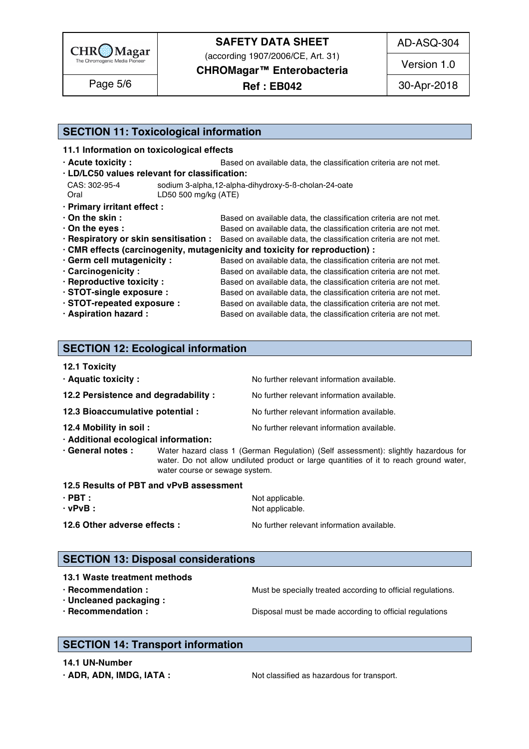

(according 1907/2006/CE, Art. 31)

**CHROMagar™ Enterobacteria** 

**Ref : EB042** Page 5/6 | Ref: EB042 | 30-Apr-2018

AD-ASQ-304

Version 1.0

# **SECTION 11: Toxicological information**

#### **11.1 Information on toxicological effects** 171

- 
- **· Acute toxicity : Based on available data, the classification criteria are not met.**  $\cdot$  LD/LC50 values relevant for classification:

| CAS: 302-95-4 | sodium 3-alpha,12-alpha-dihydroxy-5-B-cholan-24-oate |  |
|---------------|------------------------------------------------------|--|
|               | LD50 500 mg/kg (ATE)                                 |  |

- 
- **· Primary irritant effect :** 177 **• On the skin : blue in a state of a state of available data, the classification criteria are not met.**
- **On the eyes : blue and the eyes : Based on available data, the classification criteria are not met.**
- **· Respiratory or skin sensitisation :** Based on available data, the classification criteria are not met. 180
- **· CMR effects (carcinogenity, mutagenicity and toxicity for reproduction) :** 181
- **· Germ cell mutagenicity :** Based on available data, the classification criteria are not met. **· Carcinogenicity** : Based on available data, the classification criteria are not met. **· Reproductive toxicity :** Based on available data, the classification criteria are not met. **· STOT-single exposure :** Based on available data, the classification criteria are not met. **· STOT-repeated exposure :** Based on available data, the classification criteria are not met. **· Aspiration hazard :** Based on available data, the classification criteria are not met.

# **SECTION 12: Ecological information**

#### **12.1 Toxicity** 191

| · Aquatic toxicity:                  | No further relevant information available. |
|--------------------------------------|--------------------------------------------|
| 12.2 Persistence and degradability : | No further relevant information available. |
| 12.3 Bioaccumulative potential :     | No further relevant information available. |
| 12.4 Mobility in soil :              | No further relevant information available. |
| · Additional ecological information: |                                            |

**· General notes :** Water hazard class 1 (German Regulation) (Self assessment): slightly hazardous for 197 water. Do not allow undiluted product or large quantities of it to reach ground water,  $\mathsf w$ ater course or sewage system.  $\blacksquare$ 

### **SECTION 13: Disposal considerations**

**13.1 Waste treatment methods** 207 **· Recommendation : Must be specially treated according to official regulations. · Uncleaned packaging :** 209 **· Recommendation : Disposal must be made according to official regulations** 2100 **Recommendation** 2100 **P** 

# **SECTION 14: Transport information**

**14.1 UN-Number** 214

**· ADR, ADN, IMDG, IATA :** Not classified as hazardous for transport.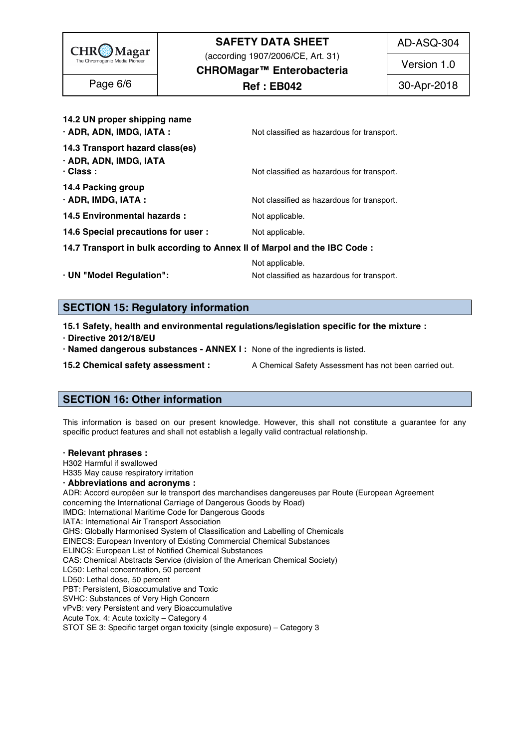

(according 1907/2006/CE, Art. 31)

AD-ASQ-304

**CHROMagar™ Enterobacteria** 

**Ref : EB042**

Version 1.0

| 14.2 UN proper shipping name<br>$\cdot$ ADR, ADN, IMDG, IATA :               | Not classified as hazardous for transport. |
|------------------------------------------------------------------------------|--------------------------------------------|
| 14.3 Transport hazard class(es)<br>· ADR, ADN, IMDG, IATA<br>$\cdot$ Class : | Not classified as hazardous for transport. |
| 14.4 Packing group<br>$\cdot$ ADR, IMDG, IATA :                              | Not classified as hazardous for transport. |
| 14.5 Environmental hazards :                                                 | Not applicable.                            |
| 14.6 Special precautions for user :                                          | Not applicable.                            |
| 14.7 Transport in bulk according to Annex II of Marpol and the IBC Code :    |                                            |
|                                                                              | Not annlicable                             |

Not applicable. 226 **· UN "Model Regulation":**  $\blacksquare$  Not classified as hazardous for transport.

# **SECTION 15: Regulatory information**

**15.1 Safety, health and environmental regulations/legislation specific for the mixture :** 231

**· Directive 2012/18/EU** 232

**· Named dangerous substances - ANNEX I :** None of the ingredients is listed. 233

**15.2 Chemical safety assessment :** A Chemical Safety Assessment has not been carried out.

# **SECTION 16: Other information** 2377 2377 2377 2378 2377 2378 2378 2379 2378 2379 2379 2379 2379 2379 2379 2379 237

This information is based on our present knowledge. However, this shall not constitute a guarantee for any specific product features and shall not establish a legally valid contractual relationship.

#### **· Relevant phrases :** 242

H302 Harmful if swallowed 243

H335 May cause respiratory irritation 244

#### **· Abbreviations and acronyms :** 245

ADR: Accord européen sur le transport des marchandises dangereuses par Route (European Agreement concerning the International Carriage of Dangerous Goods by Road) IMDG: International Maritime Code for Dangerous Goods<br>IATA: International Air Transport Association IATA: International Air Transport Association 249 GHS: Globally Harmonised System of Classification and Labelling of Chemicals EINECS: European Inventory of Existing Commercial Chemical Substances ELINCS: European List of Notified Chemical Substances CAS: Chemical Abstracts Service (division of the American Chemical Society) LC50: Lethal concentration, 50 percent LC50: Lethal concentration, 50 percent 2544 and 2544 and 2544 and 2544 and 2544 and 2544 and 2544 and 2544 and LD50: Lethal dose, 50 percent 2555 percent 2555 percent 2555 percent 2555 percent 2555 percent 2555 percent 25 PBT: Persistent, Bioaccumulative and Toxic 2566 Australian and Toxic 2566 Australian and Toxic 2566 Australian SVHC: Substances of Very High Concern 2577 Production 2577 Production 2577 Production 2577 Production 2577 Pro vPvB: very Persistent and very Bioaccumulative<br>Acute Tox. 4: Acute toxicity - Category 4 Acute Tox. 4: Acute toxicity – Category 4 259 STOT SE 3: Specific target organ toxicity (single exposure) - Category 3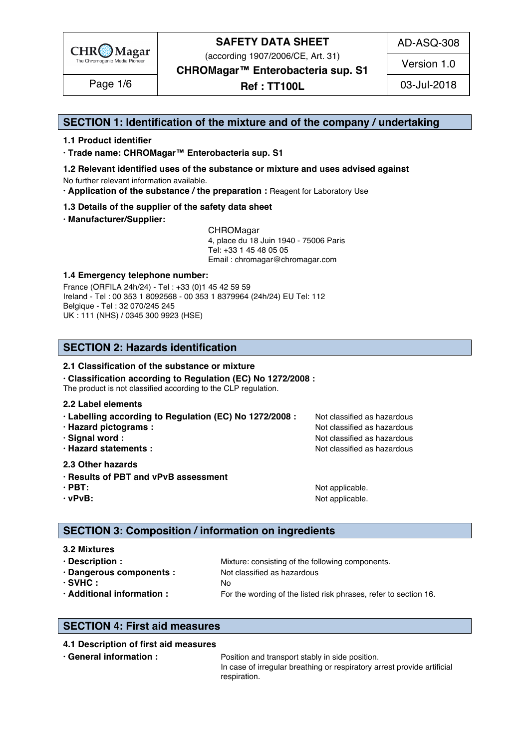

(according 1907/2006/CE, Art. 31)

AD-ASQ-308

Version 1.0

**CHROMagar™ Enterobacteria sup. S1** 

**Ref : TT100L** Page 1/6 03-Jul-2018

## **SECTION 1: Identification of the mixture and of the company / undertaking** 1

#### **1.1 Product identifier** 2

**· Trade name: CHROMagar™ Enterobacteria sup. S1** 3

- **1.2 Relevant identified uses of the substance or mixture and uses advised against** 4 No further relevant information available. 5
- **· Application of the substance / the preparation :** Reagent for Laboratory Use 6

#### **1.3 Details of the supplier of the safety data sheet** 7

**· Manufacturer/Supplier:** 8

CHROMagar 9 4, place du 18 Juin 1940 - 75006 Paris 10 Tel: +33 1 45 48 05 05 11 11 12 11 12 11 12 11 12 11 12 11 12 11 12 11 12 11 12 1 Email : chromagar@chromagar.com 12

#### **1.4 Emergency telephone number:** 13

France (ORFILA 24h/24) - Tel: +33 (0)1 45 42 59 59 Ireland - Tel: 00 353 1 8092568 - 00 353 1 8379964 (24h/24) EU Tel: 112 Belgique - Tel : 32 070/245 245 16 UK : 111 (NHS) / 0345 300 9923 (HSE) 17

# **SECTION 2: Hazards identification** 20

#### **2.1 Classification of the substance or mixture** 21

**· Classification according to Regulation (EC) No 1272/2008 :** 22

The product is not classified according to the CLP regulation.

#### **2.2 Label elements** 24

- **· Labelling according to Regulation (EC) No 1272/2008 : Not classified as hazardous**
- 
- 
- 

#### **2.3 Other hazards** 29

- **· Results of PBT and vPvB assessment** 30
- 
- 

**· Hazard pictograms :** Not classified as hazardous 26 and 26 and 26 and 26 and 26 and 26 and 26 and 26 and 26 and 26 and 26 and 26 and 26 and 26 and 26 and 26 and 26 and 26 and 26 and 26 and 26 and 26 and 26 and 26 and 26 **· Signal word :** Not classified as hazardous 27 and 27 and 27 and 27 and 27 and 27 and 27 and 27 and 27 and 27 and 27 and 27 and 27 and 27 and 27 and 27 and 27 and 27 and 27 and 27 and 27 and 27 and 27 and 27 and 27 and 2 **· Hazard statements :** Not classified as hazardous 28 and 28 and 28 and 28 and 28 and 28 and 28 and 28 and 28 and 28 and 28 and 28 and 28 and 28 and 28 and 28 and 28 and 28 and 28 and 28 and 28 and 28 and 28 and 28 and 28

**· PBT:**  $\blacksquare$  **PBT:**  $\blacksquare$  **PBT:**  $\blacksquare$  **PBT:**  $\blacksquare$   $\blacksquare$   $\blacksquare$   $\blacksquare$   $\blacksquare$   $\blacksquare$   $\blacksquare$   $\blacksquare$   $\blacksquare$   $\blacksquare$   $\blacksquare$   $\blacksquare$   $\blacksquare$   $\blacksquare$   $\blacksquare$   $\blacksquare$   $\blacksquare$   $\blacksquare$   $\blacksquare$   $\blacksquare$   $\blacksquare$   $\blacksquare$   $\blacksquare$   $\blacksquare$   $\bl$ **· vPvB:**  $\bullet$  **· Note** applicable. 322 *Note* **applicable.** 322 *Note* **applicable.** 322 *Note* **applicable. 322 <b>***Note* 322 *Note* 322 *Note* 322 *Note* 322 *Note* 322 *Note* 322 *Note* 322 *Note* 322

# **SECTION 3: Composition / information on ingredients**

#### **3.2 Mixtures** 36

| · Description :            | Mixture: consisting of the following components.                 |
|----------------------------|------------------------------------------------------------------|
| · Dangerous components :   | Not classified as hazardous                                      |
| $·$ SVHC :                 |                                                                  |
| · Additional information : | For the wording of the listed risk phrases, refer to section 16. |

# **SECTION 4: First aid measures** 43

#### **4.1 Description of first aid measures** 44

**· General information :** *Position and transport stably in side position.* **455 and the position of the position of the position of the position of the position of the position of the position of the position of the posit** In case of irregular breathing or respiratory arrest provide artificial respiration. And the state of the state of the state of the state of the state of the state of the state of the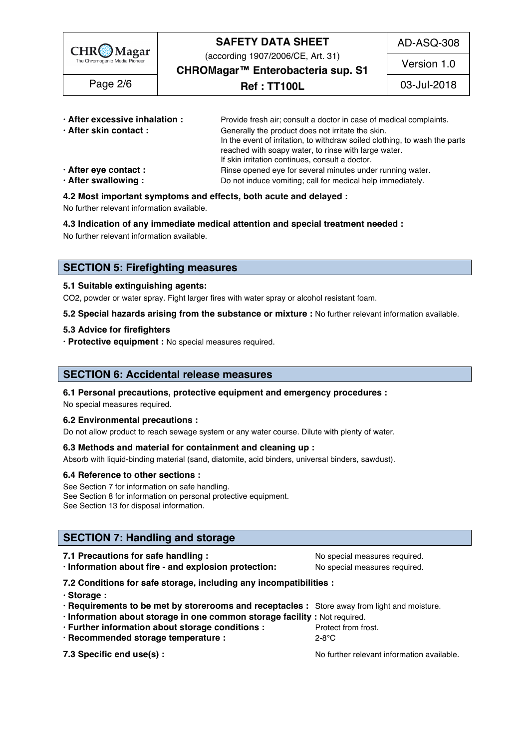

(according 1907/2006/CE, Art. 31)

AD-ASQ-308

**CHROMagar™ Enterobacteria sup. S1** 

**Ref : TT100L** Page 2/6 03-Jul-2018

Version 1.0

| · After excessive inhalation : | Provide fresh air; consult a doctor in case of medical complaints.         |
|--------------------------------|----------------------------------------------------------------------------|
| · After skin contact:          | Generally the product does not irritate the skin.                          |
|                                | In the event of irritation, to withdraw soiled clothing, to wash the parts |
|                                | reached with soapy water, to rinse with large water.                       |
|                                | If skin irritation continues, consult a doctor.                            |
| · After eye contact :          | Rinse opened eye for several minutes under running water.                  |
| · After swallowing:            | Do not induce vomiting; call for medical help immediately.                 |

### **4.2 Most important symptoms and effects, both acute and delayed :** 55

No further relevant information available. 56

**4.3 Indication of any immediate medical attention and special treatment needed :** 57

No further relevant information available. Superstanding the state of the state of the state of the state of the state of the state of the state of the state of the state of the state of the state of the state of the state

# **SECTION 5: Firefighting measures**

### **5.1 Suitable extinguishing agents:** 62

CO2, powder or water spray. Fight larger fires with water spray or alcohol resistant foam.

**5.2 Special hazards arising from the substance or mixture :** No further relevant information available. 64

#### **5.3 Advice for firefighters** 65

**· Protective equipment :** No special measures required. 66

# **SECTION 6: Accidental release measures**

#### **6.1 Personal precautions, protective equipment and emergency procedures :** 70

No special measures required. The contract of the contract of the contract of the contract of the contract of the contract of the contract of the contract of the contract of the contract of the contract of the contract of

#### **6.2 Environmental precautions :** 72

Do not allow product to reach sewage system or any water course. Dilute with plenty of water.

#### **6.3 Methods and material for containment and cleaning up :** 74

Absorb with liquid-binding material (sand, diatomite, acid binders, universal binders, sawdust).

#### **6.4 Reference to other sections :** 76

See Section 7 for information on safe handling. The set of the set of the set of the set of the set of the set of the set of the set of the set of the set of the set of the set of the set of the set of the set of the set o See Section 8 for information on personal protective equipment. See Section 13 for disposal information. The section of the section of the section of the section of the section of the section of the section of the section of the section of the section of the section of the section of t

### **SECTION 7: Handling and storage**

#### **7.2 Conditions for safe storage, including any incompatibilities :** 85

- **· Storage :** 86
- **· Requirements to be met by storerooms and receptacles :** Store away from light and moisture. 87
- **· Information about storage in one common storage facility :** Not required. 88
- **· Further information about storage conditions : Protect from frost.**
- **· Recommended storage temperature :** 2-8°C 90

- 
- **7.3 Specific end use(s) : No further relevant information available.** 913 Specific end use(s) :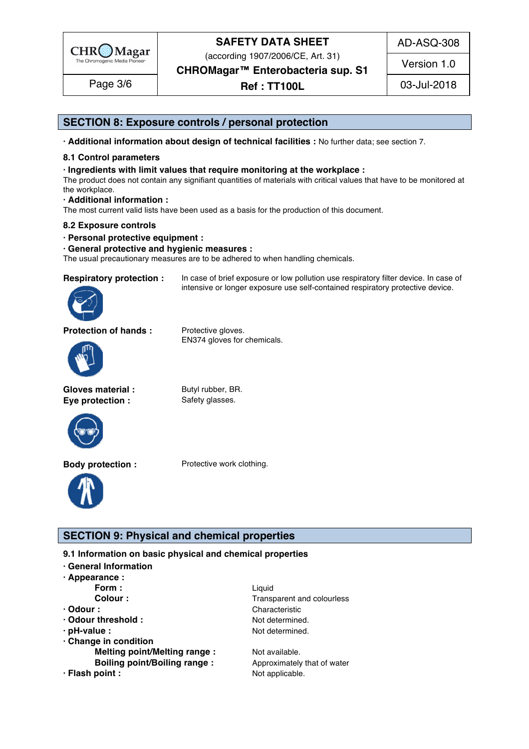

(according 1907/2006/CE, Art. 31)

**CHROMagar™ Enterobacteria sup. S1** 

AD-ASQ-308

Version 1.0

# **Ref : TT100L** Page 3/6 03-Jul-2018

# **SECTION 8: Exposure controls / personal protection**

**· Additional information about design of technical facilities :** No further data; see section 7. 95

#### **8.1 Control parameters** 96

#### **· Ingredients with limit values that require monitoring at the workplace :** 97

The product does not contain any signifiant quantities of materials with critical values that have to be monitored at the workplace. the workplace. 99

intensive or longer exposure use self-contained respiratory protective device.

**· Additional information :** 100

The most current valid lists have been used as a basis for the production of this document.

#### **8.2 Exposure controls** 102

**· Personal protective equipment :** 103

#### **· General protective and hygienic measures :** 104

The usual precautionary measures are to be adhered to when handling chemicals.

**Respiratory protection :** In case of brief exposure or low pollution use respiratory filter device. In case of



**Protection of hands :** Protective gloves.



**Gloves material :** Butyl rubber, BR. **Eye protection :** Safety glasses.



EN374 gloves for chemicals.



**Body protection :** Protective work clothing.



### **SECTION 9: Physical and chemical properties**

**9.1 Information on basic physical and chemical properties** 

- **· General Information** 111
- **· Appearance :** 112
- 
- 
- 
- 
- 
- **· Change in condition** 118 **Melting point/Melting range :** Not available. 11999 **11999 11999 11999 11999 11999 11999 1199 Boiling point/Boiling range :**  $\qquad \qquad$  Approximately that of water 1200 and 1200 and 1200 and 1200 and 1200 and 1200 and 1200 and 1200 and 1200 and 1200 and 1200 and 1200 and 1200 and 1200 and 1200 and 1200 and 1200 and
- 
- **Form : All and the Contract Contract Contract Contract Contract Contract Contract Contract Contract Contract Contract Contract Contract Contract Contract Contract Contract Contract Contract Contract Contract Contract Cont Colour :** Transparent and colourless 1144 and 2000 **Colour** 2144 **Colourles** 1144 **Colourles · Odour : Characteristic 115 and 215 and 215 and 215 and 215 and 215 and 215 and 215 and 215 and 215 and 215 and 215 and 215 and 215 and 215 and 215 and 215 and 215 and 215 and 215 and 215 and 215 and 215 and 215 and 21 • Odour threshold :** The Music of the Music of Not determined. 116 and 216 and 216 and 216 and 216 and 216 and 216 and 216 and 216 and 216 and 216 and 216 and 216 and 216 and 216 and 216 and 216 and 216 and 216 and 216 an **• pH-value :** The contract of the contract of the Not determined. 1177 and 2177 and 2177 and 2177 and 2177 and 2177 and 2177 and 2177 and 2177 and 2177 and 2177 and 2177 and 2177 and 2177 and 2177 and 2177 and 2177 and 21

**· Flash point :** The contract of the contract of the Not applicable. 1212 The contract of the contract of the contract of the contract of the contract of the contract of the contract of the contract of the contract of the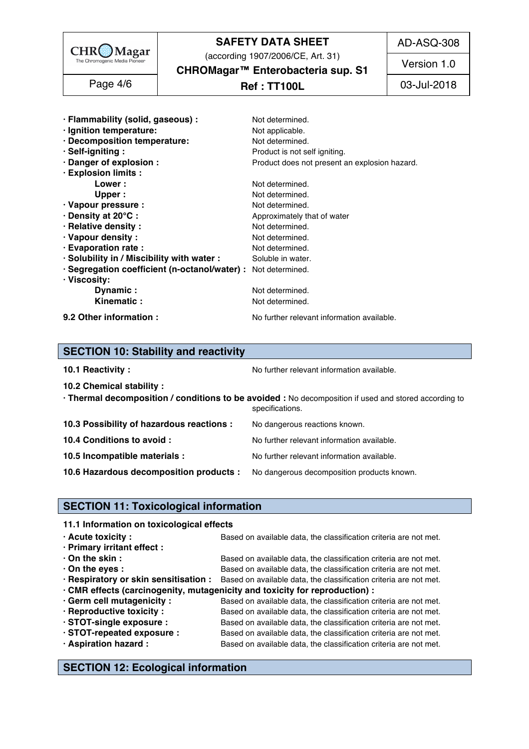

(according 1907/2006/CE, Art. 31)

AD-ASQ-308

Version 1.0

**CHROMagar™ Enterobacteria sup. S1** 

| Page 4/6 |  |
|----------|--|
|----------|--|

# **Ref : TT100L** Page 4/6 03-Jul-2018

| · Flammability (solid, gaseous) :                             | Not determined.                               |
|---------------------------------------------------------------|-----------------------------------------------|
|                                                               |                                               |
| · Ignition temperature:                                       | Not applicable.                               |
| · Decomposition temperature:                                  | Not determined.                               |
| · Self-igniting:                                              | Product is not self igniting.                 |
| · Danger of explosion :                                       | Product does not present an explosion hazard. |
| · Explosion limits :                                          |                                               |
| Lower:                                                        | Not determined.                               |
| Upper:                                                        | Not determined.                               |
| · Vapour pressure :                                           | Not determined.                               |
| · Density at 20°C:                                            | Approximately that of water                   |
| · Relative density :                                          | Not determined.                               |
|                                                               |                                               |
| · Vapour density:                                             | Not determined.                               |
| · Evaporation rate :                                          | Not determined.                               |
| · Solubility in / Miscibility with water :                    | Soluble in water.                             |
| · Segregation coefficient (n-octanol/water) : Not determined. |                                               |
| · Viscosity:                                                  |                                               |
| Dynamic:                                                      | Not determined.                               |
| Kinematic:                                                    | Not determined.                               |
|                                                               |                                               |
| 9.2 Other information :                                       | No further relevant information available.    |

# **SECTION 10: Stability and reactivity**

| 10.1 Reactivity: |  |
|------------------|--|
|                  |  |
|                  |  |

**10.1 Reactivity :** The Community of the Norther relevant information available.

| 10.2 Chemical stability:                                                           |                                                                                                                          |
|------------------------------------------------------------------------------------|--------------------------------------------------------------------------------------------------------------------------|
|                                                                                    | · Thermal decomposition / conditions to be avoided : No decomposition if used and stored according to<br>specifications. |
| 10.3 Possibility of hazardous reactions :                                          | No dangerous reactions known.                                                                                            |
| 10.4 Conditions to avoid :                                                         | No further relevant information available.                                                                               |
| 10.5 Incompatible materials :                                                      | No further relevant information available.                                                                               |
| 10.6 Hazardous decomposition products : No dangerous decomposition products known. |                                                                                                                          |

# **SECTION 11: Toxicological information**

#### **11.1 Information on toxicological effects**

| $\cdot$ Acute toxicity :    | Based on available data, the classification criteria are not met.                                       |  |  |
|-----------------------------|---------------------------------------------------------------------------------------------------------|--|--|
| · Primary irritant effect : |                                                                                                         |  |  |
| $\cdot$ On the skin :       | Based on available data, the classification criteria are not met.                                       |  |  |
| $\cdot$ On the eyes :       | Based on available data, the classification criteria are not met.                                       |  |  |
|                             | . Respiratory or skin sensitisation : Based on available data, the classification criteria are not met. |  |  |
|                             | · CMR effects (carcinogenity, mutagenicity and toxicity for reproduction) :                             |  |  |
| · Germ cell mutagenicity :  | Based on available data, the classification criteria are not met.                                       |  |  |
| · Reproductive toxicity :   | Based on available data, the classification criteria are not met.                                       |  |  |
| · STOT-single exposure :    | Based on available data, the classification criteria are not met.                                       |  |  |
| STOT-repeated exposure :    | Based on available data, the classification criteria are not met.                                       |  |  |
| · Aspiration hazard :       | Based on available data, the classification criteria are not met.                                       |  |  |
|                             |                                                                                                         |  |  |

**SECTION 12: Ecological information**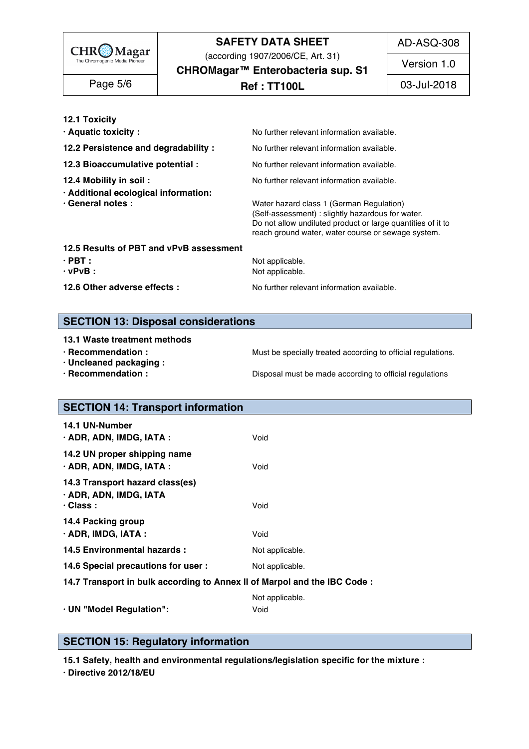

(according 1907/2006/CE, Art. 31)

AD-ASQ-308

Version 1.0

**CHROMagar™ Enterobacteria sup. S1** 

**Ref : TT100L** Page 5/6 03-Jul-2018

**12.1 Toxicity** 169

**· Aquatic toxicity : 170 COV COVER TO COVER THE REGISTION COVER TO A REGISTION CONTROLLER TO A REGISTION CONTROLLER TO A REGISTION CONTROLLER THE REGISTION OF A REGISTION CONTROLLER TO A REGISTION CONTROLLER TO A REGIST** 

**12.2 Persistence and degradability :** No further relevant information available.

- 
- **· Additional ecological information:** 174
- 

**12.3 Bioaccumulative potential :** No further relevant information available.

**12.4 Mobility in soil : No further relevant information available.** 173.4 Motor products and the set of the set of the set of the set of the set of the set of the set of the set of the set of the set of the set of the s

**· General notes : Water hazard class 1 (German Regulation)** 175 (Self-assessment) : slightly hazardous for water. Do not allow undiluted product or large quantities of it to reach ground water, water course or sewage system.

#### **12.5 Results of PBT and vPvB assessment**

**· PBT :** Not applicable. 180 **· vPvB :** Not applicable. 181

**12.6 Other adverse effects :** No further relevant information available.

# **SECTION 13: Disposal considerations**

- 
- **· Uncleaned packaging :** 188
- 

**· Recommendation : Must be specially treated according to official regulations.** 

**· Recommendation : Disposal must be made according to official regulations** 1899.

# **SECTION 14: Transport information**

| 14.2 UN proper shipping name<br>· ADR, ADN, IMDG, IATA :<br>Void<br>14.3 Transport hazard class(es)<br>· ADR, ADN, IMDG, IATA<br>$\cdot$ Class :<br>Void<br>14.4 Packing group<br>$\cdot$ ADR, IMDG, IATA :<br>Void<br>14.5 Environmental hazards :<br>Not applicable.<br>14.6 Special precautions for user :<br>Not applicable.<br>14.7 Transport in bulk according to Annex II of Marpol and the IBC Code :<br>Not applicable.<br>· UN "Model Regulation":<br>Void | 14.1 UN-Number<br>· ADR, ADN, IMDG, IATA : | Void |  |  |
|----------------------------------------------------------------------------------------------------------------------------------------------------------------------------------------------------------------------------------------------------------------------------------------------------------------------------------------------------------------------------------------------------------------------------------------------------------------------|--------------------------------------------|------|--|--|
|                                                                                                                                                                                                                                                                                                                                                                                                                                                                      |                                            |      |  |  |
|                                                                                                                                                                                                                                                                                                                                                                                                                                                                      |                                            |      |  |  |
|                                                                                                                                                                                                                                                                                                                                                                                                                                                                      |                                            |      |  |  |
|                                                                                                                                                                                                                                                                                                                                                                                                                                                                      |                                            |      |  |  |
|                                                                                                                                                                                                                                                                                                                                                                                                                                                                      |                                            |      |  |  |
|                                                                                                                                                                                                                                                                                                                                                                                                                                                                      |                                            |      |  |  |
|                                                                                                                                                                                                                                                                                                                                                                                                                                                                      |                                            |      |  |  |

# **SECTION 15: Regulatory information**

**15.1 Safety, health and environmental regulations/legislation specific for the mixture :** 210

**· Directive 2012/18/EU** 211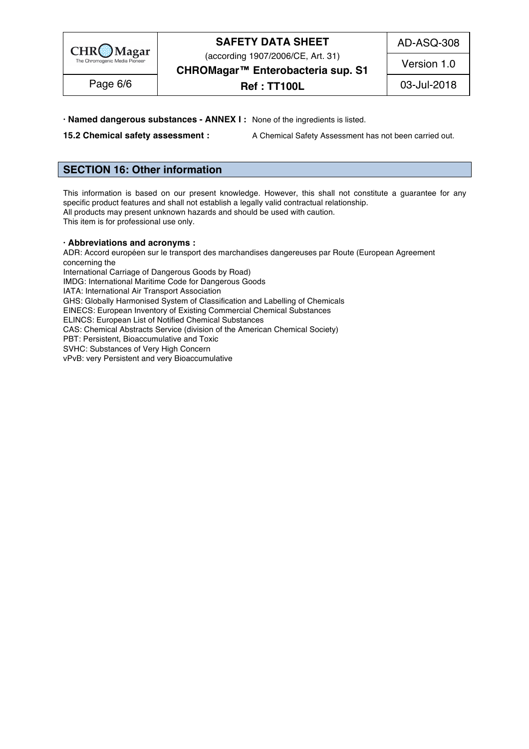

(according 1907/2006/CE, Art. 31)

AD-ASQ-308

Version 1.0

**CHROMagar™ Enterobacteria sup. S1** 

Page 6/6 | **Ref : TT100L** | 03-Jul-2018

**· Named dangerous substances - ANNEX I :** None of the ingredients is listed. 212

**15.2 Chemical safety assessment :** A Chemical Safety Assessment has not been carried out.

# **SECTION 16: Other information** 216

This information is based on our present knowledge. However, this shall not constitute a guarantee for any specific product features and shall not establish a legally valid contractual relationship. All products may present unknown hazards and should be used with caution. This item is for professional use only. 221

#### **· Abbreviations and acronyms :** 223

ADR: Accord européen sur le transport des marchandises dangereuses par Route (European Agreement concerning the concerning the  $2255$   $\pm$   $225$   $\pm$   $225$   $\pm$   $225$   $\pm$   $225$   $\pm$   $225$   $\pm$   $225$   $\pm$   $225$   $\pm$   $225$   $\pm$   $225$   $\pm$   $225$   $\pm$   $225$   $\pm$   $225$   $\pm$   $225$   $\pm$   $225$   $\pm$   $225$   $\pm$   $225$   $\pm$   $225$   $\pm$   $225$  International Carriage of Dangerous Goods by Road)

IMDG: International Maritime Code for Dangerous Goods

IATA: International Air Transport Association

GHS: Globally Harmonised System of Classification and Labelling of Chemicals

EINECS: European Inventory of Existing Commercial Chemical Substances

ELINCS: European List of Notified Chemical Substances

CAS: Chemical Abstracts Service (division of the American Chemical Society)

PBT: Persistent, Bioaccumulative and Toxic 2333 AM and 2333 AM and 2333 AM and 2333 AM and 2333 AM and 2333 AM

SVHC: Substances of Very High Concern 2344 Processes 2344 Processes 2344 Processes 2344 Processes 2344 Processes vPvB: very Persistent and very Bioaccumulative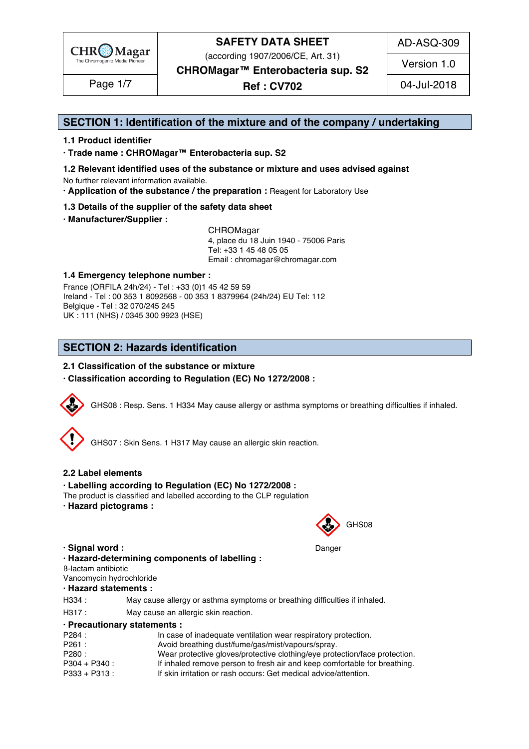

(according 1907/2006/CE, Art. 31)

AD-ASQ-309

Version 1.0

**CHROMagar™ Enterobacteria sup. S2**

**Ref : CV702** Page 1/7 04-Jul-2018

# **SECTION 1: Identification of the mixture and of the company / undertaking** 1

#### **1.1 Product identifier** 2

**· Trade name : CHROMagar™ Enterobacteria sup. S2** 3

- **1.2 Relevant identified uses of the substance or mixture and uses advised against** 4 No further relevant information available. 5
- **· Application of the substance / the preparation :** Reagent for Laboratory Use 6

#### **1.3 Details of the supplier of the safety data sheet** 7

**· Manufacturer/Supplier :** 8

CHROMagar 9 4, place du 18 Juin 1940 - 75006 Paris 10 Tel: +33 1 45 48 05 05 11 11 12 11 12 11 12 11 12 11 12 11 12 11 12 11 12 11 12 1 Email : chromagar@chromagar.com 12

#### **1.4 Emergency telephone number :** 13

France (ORFILA 24h/24) - Tel: +33 (0)1 45 42 59 59 Ireland - Tel: 00 353 1 8092568 - 00 353 1 8379964 (24h/24) EU Tel: 112 Belgique - Tel : 32 070/245 245 16 UK : 111 (NHS) / 0345 300 9923 (HSE) 17

# **SECTION 2: Hazards identification** 20

#### **2.1 Classification of the substance or mixture** 21

**· Classification according to Regulation (EC) No 1272/2008 :** 22



GHS08 : Resp. Sens. 1 H334 May cause allergy or asthma symptoms or breathing difficulties if inhaled.



GHS07 : Skin Sens. 1 H317 May cause an allergic skin reaction.

#### **2.2 Label elements** 28

#### **· Labelling according to Regulation (EC) No 1272/2008 :** 29

- The product is classified and labelled according to the CLP regulation
- **· Hazard pictograms :** 31



**· Signal word :** Danger 35

### **· Hazard-determining components of labelling :** 36

ß-lactam antibiotic 37

Vancomycin hydrochloride 38

#### **· Hazard statements :** 39

| H334: | May cause allergy or asthma symptoms or breathing difficulties if inhaled. |
|-------|----------------------------------------------------------------------------|
| H317: | May cause an allergic skin reaction.                                       |

#### **· Precautionary statements :** 42

| In case of inadequate ventilation wear respiratory protection.             |
|----------------------------------------------------------------------------|
| Avoid breathing dust/fume/gas/mist/vapours/spray.                          |
| Wear protective gloves/protective clothing/eye protection/face protection. |
| If inhaled remove person to fresh air and keep comfortable for breathing.  |
| If skin irritation or rash occurs: Get medical advice/attention.           |
|                                                                            |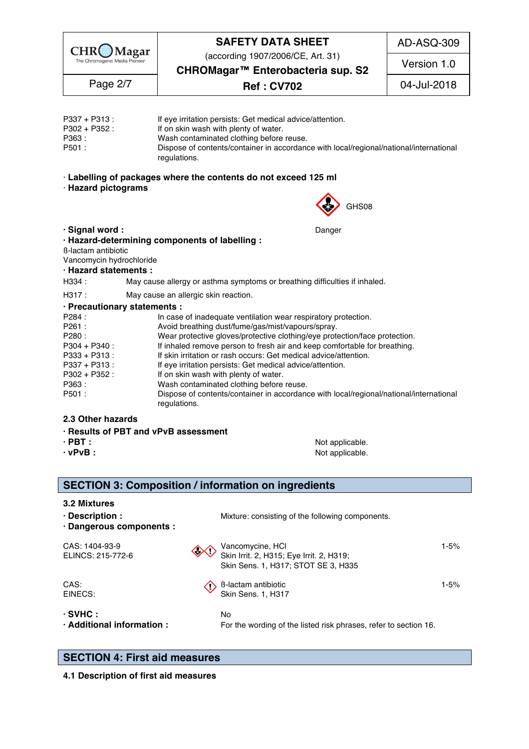

(according 1907/2006/CE, Art. 31)

AD-ASQ-309

Version 1.0

regulations. The contract of the contract of the contract of the contract of the contract of the contract of the contract of the contract of the contract of the contract of the contract of the contract of the contract of t

**CHROMagar™ Enterobacteria sup. S2**

**Ref : CV702** Page 2/7 04-Jul-2018

P337 + P313 : If eye irritation persists: Get medical advice/attention. P302 + P352 : If on skin wash with plenty of water.  $\blacksquare$ P363 : Wash contaminated clothing before reuse. 500 and 500 and 500 and 500 and 500 and 500 and 500 and 500 and 500 and 500 and 500 and 500 and 500 and 500 and 500 and 500 and 500 and 500 and 500 and 500 and 500 and 500 an P501 : Dispose of contents/container in accordance with local/regional/national/international regulations. The contract of the contract of the contract of the contract of the contract of the contract of the contract of the contract of the contract of the contract of the contract of the contract of the contract of t

· **Labelling of packages where the contents do not exceed 125 ml** 54

· **Hazard pictograms** 55



**· Signal word :**  $\qquad \qquad$  **Danger 59.000**  $\qquad$  **Danger 59.000**  $\qquad$  **59.000**  $\qquad$  **59.000**  $\qquad$  **59.000**  $\qquad$  **59.000**  $\qquad$  **59.000**  $\qquad$  **59.000**  $\qquad$  **59.000**  $\qquad$  **59.000**  $\qquad$  **59.000**  $\qquad$  **59.000**  $\qquad$  **59.000**  $\qquad$  **59.000**  $\qquad$  **· Hazard-determining components of labelling :** 60 ß-lactam antibiotic 61 Vancomycin hydrochloride 62 **· Hazard statements :** 63 H334 : May cause allergy or asthma symptoms or breathing difficulties if inhaled. H317 : May cause an allergic skin reaction. **· Precautionary statements :** 66 P284 : In case of inadequate ventilation wear respiratory protection. P261 : Avoid breathing dust/fume/gas/mist/vapours/spray. P280 : Wear protective gloves/protective clothing/eye protection/face protection. P304 + P340 : If inhaled remove person to fresh air and keep comfortable for breathing. P333 + P313 : If skin irritation or rash occurs: Get medical advice/attention.<br>P337 + P313 : If eye irritation persists: Get medical advice/attention. P337 + P313 :<br>P302 + P352 : If on skin wash with plenty of water. P302 + P352 : If on skin wash with plenty of water. The state of the product of water. P363 : Wash contaminated clothing before reuse. 744 and 745 and 745 and 745 and 747 and 748 and 747 and 747 and 74 P501 : Dispose of contents/container in accordance with local/regional/national/international

#### **2.3 Other hazards** 77

- **· Results of PBT and vPvB assessment** 78
- 
- 

**· PBT :** *PBT* **:** *Not* applicable. 79 **· vPvB :** Not applicable. 80

# **SECTION 3: Composition / information on ingredients**

**3.2 Mixtures** 84 Mixtures 84 Mixtures 84 Mixtures 84 Mixtures 84 Mixtures 84 Mixtures 84 Mixtures 84 Mixtures 84 Mixtures 84 Mixtures 84 Mixtures 84 Mixtures 84 Mixtures 84 Mixtures 84 Mixtures 84 Mixtures 84 Mixtures 84

**· Description : Mixture: consisting of the following components.** 85

**· Dangerous components :** 86 CAS: 1404-93-9  $\bigwedge$  Vancomycine, HCl  $\bigcup$  1-5% 8888889. ELINCS: 215-772-6  $\mathbb{V}\mathbb{V}$  Skin Irrit. 2, H315; Eye Irrit. 2, H319; Skin Sens. 1, H317; STOT SE 3, H335 CAS:  $\left\langle \right\rangle$  B-lactam antibiotic 1-5% 92. 1-5% 92. 1.5% EINECS: Skin Sens. 1, H317 **· SVHC :** No 95 **· Additional information :** For the wording of the listed risk phrases, refer to section 16.

# **SECTION 4: First aid measures** 99

**4.1 Description of first aid measures**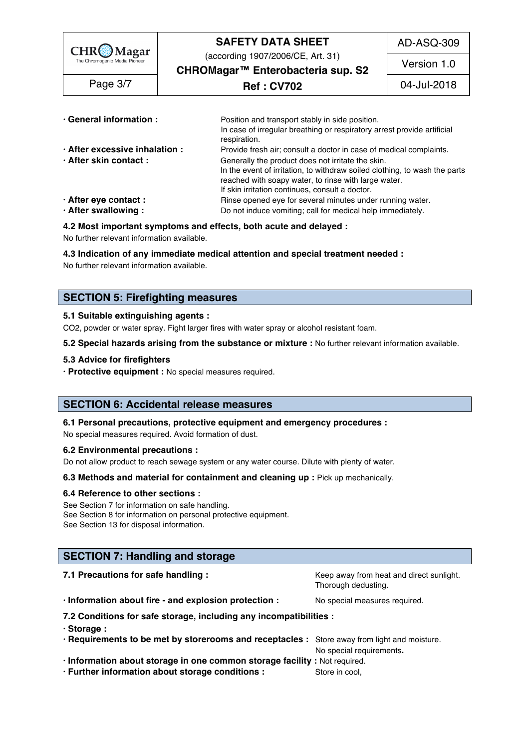| $\left \begin{array}{c}\n\text{CHR}\n\text{Magar} \\ \text{The Chromogenic Media Pioneer}\n\end{array}\right $ | <b>SAFETY DATA SHEET</b>                                                                                                                                                                              | AD-ASQ-309  |
|----------------------------------------------------------------------------------------------------------------|-------------------------------------------------------------------------------------------------------------------------------------------------------------------------------------------------------|-------------|
|                                                                                                                | (according 1907/2006/CE, Art. 31)<br>CHROMagar <sup>™</sup> Enterobacteria sup. S2                                                                                                                    | Version 1.0 |
| Page 3/7                                                                                                       | <b>Ref : CV702</b>                                                                                                                                                                                    | 04-Jul-2018 |
| · General information :                                                                                        | Position and transport stably in side position.                                                                                                                                                       |             |
|                                                                                                                | In case of irregular breathing or respiratory arrest provide artificial<br>respiration.                                                                                                               |             |
| · After excessive inhalation :<br>· After skin contact:                                                        | Provide fresh air; consult a doctor in case of medical complaints.<br>Generally the product does not irritate the skin.<br>In the event of irritation, to withdraw soiled clothing, to wash the parts |             |

reached with soapy water, to rinse with large water.

- If skin irritation continues, consult a doctor. **· After eye contact : Rinse opened eye for several minutes under running water.<br><b>• After swallowing :** 1099 Do not induce vomiting; call for medical help immediately. **Do not induce vomiting; call for medical help immediately.**
- 

#### **4.2 Most important symptoms and effects, both acute and delayed :** 111

No further relevant information available. 112 and 200 minutes are considered as a state of the state of the state of the state of the state of the state of the state of the state of the state of the state of the state of

#### **4.3 Indication of any immediate medical attention and special treatment needed :** 113

No further relevant information available. In the control of the control of the control of the control of the control of the control of the control of the control of the control of the control of the control of the control

# **SECTION 5: Firefighting measures**

#### **5.1 Suitable extinguishing agents :** 118

CO2, powder or water spray. Fight larger fires with water spray or alcohol resistant foam.

**5.2 Special hazards arising from the substance or mixture : No further relevant information available.** 

#### **5.3 Advice for firefighters** 121

**· Protective equipment** : No special measures required.

### **SECTION 6: Accidental release measures**

#### **6.1 Personal precautions, protective equipment and emergency procedures :** 126

No special measures required. Avoid formation of dust.

#### **6.2 Environmental precautions :** 128

Do not allow product to reach sewage system or any water course. Dilute with plenty of water.

**6.3 Methods and material for containment and cleaning up : Pick up mechanically.** 

#### **6.4 Reference to other sections :** 131

See Section 7 for information on safe handling. 1323 and 1323 and 1323 and 1323 and 1323 and 1323 and 1323 and 1323 and 1323 and 1323 and 1323 and 1323 and 1323 and 1323 and 1323 and 1323 and 1323 and 1323 and 1323 and 132 See Section 8 for information on personal protective equipment.<br>See Section 13 for disposal information. See Section 13 for disposal information. 134 AM and the section of the section of the section of the section of the section of the section of the section of the section of the section of the section of the section of the s

### **SECTION 7: Handling and storage**

| 7.1 Precautions for safe handling:                                                           | Keep away from heat and direct sunlight.<br>Thorough dedusting. |  |  |  |
|----------------------------------------------------------------------------------------------|-----------------------------------------------------------------|--|--|--|
| · Information about fire - and explosion protection :                                        | No special measures required.                                   |  |  |  |
| 7.2 Conditions for safe storage, including any incompatibilities :                           |                                                                 |  |  |  |
| · Storage:                                                                                   |                                                                 |  |  |  |
| . Requirements to be met by storerooms and receptacles : Store away from light and moisture. |                                                                 |  |  |  |
|                                                                                              | No special requirements.                                        |  |  |  |

**· Information about storage in one common storage facility :** Not required. 145

**· Further information about storage conditions : Store in cool, 1466**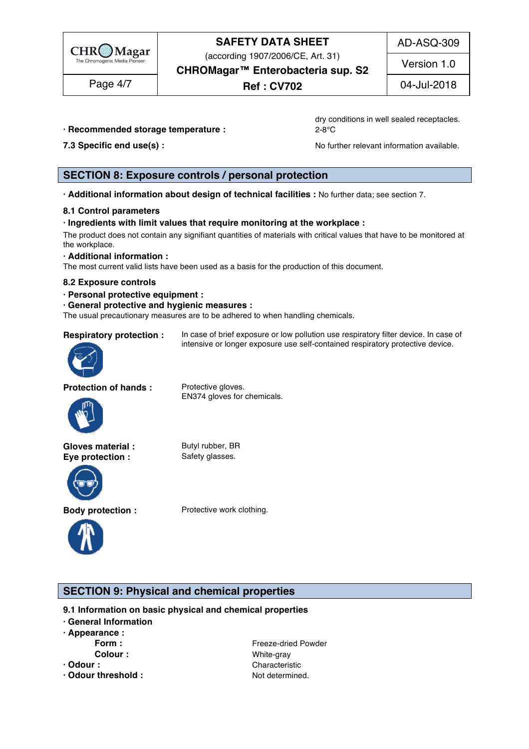

(according 1907/2006/CE, Art. 31)

AD-ASQ-309

Version 1.0

**CHROMagar™ Enterobacteria sup. S2**

**Ref : CV702** Page 4/7 04-Jul-2018

**· Recommended storage temperature :**  $2-8^{\circ}\text{C}$ 

dry conditions in well sealed receptacles.

**7.3 Specific end use(s) : No further relevant information available.** 149 and 149 and 149 and 149 and 149 and 149 and 149 and 149 and 149 and 149 and 149 and 149 and 149 and 149 and 149 and 149 and 149 and 149 and 149 a

# **SECTION 8: Exposure controls / personal protection**

**· Additional information about design of technical facilities :** No further data; see section 7. 153

### **8.1 Control parameters** 154

#### **· Ingredients with limit values that require monitoring at the workplace :** 155

The product does not contain any signifiant quantities of materials with critical values that have to be monitored at  $\blacksquare$  the workplace.  $\blacksquare$ 

**· Additional information :** 158

The most current valid lists have been used as a basis for the production of this document.

#### **8.2 Exposure controls** 160

**· Personal protective equipment :** 161

#### **· General protective and hygienic measures :** 162

The usual precautionary measures are to be adhered to when handling chemicals.



**Respiratory protection :** In case of brief exposure or low pollution use respiratory filter device. In case of intensive or longer exposure use self-contained respiratory protective device.

**Protection of hands :** Protective gloves.



EN374 gloves for chemicals.

**Gloves material :** Butyl rubber, BR **Eye protection :** Safety glasses.





**Body protection :** Protective work clothing.

# **SECTION 9: Physical and chemical properties**

- **9.1 Information on basic physical and chemical properties**
- **· General Information** 170
- **· Appearance :** 171

- 
- **· Odour threshold :** The Music of the Music of Not determined. 175 and 275 and 275 and 275 and 275 and 275 and 275 and 275 and 275 and 275 and 275 and 275 and 275 and 275 and 275 and 275 and 275 and 275 and 275 and 275 an

**Form :** The state of the state of the Freeze-dried Powder 172 and 172 and 172 and 172 and 172 and 172 and 172 and 172 and 172 and 172 and 172 and 172 and 172 and 172 and 172 and 172 and 172 and 172 and 172 and 172 and 1 **Colour :** The Colour **Colour Colour is the UNITED White-gray 173 and 273 and 273 and 273 and 273 and 273 and 273 and 273 and 273 and 273 and 273 and 273 and 273 and 273 and 273 and 273 and 273 and 273 and 273 and 273 an · Odour :** Characteristic 1740 **Characteristic** 1740 **Characteristic** 1740 **Characteristic**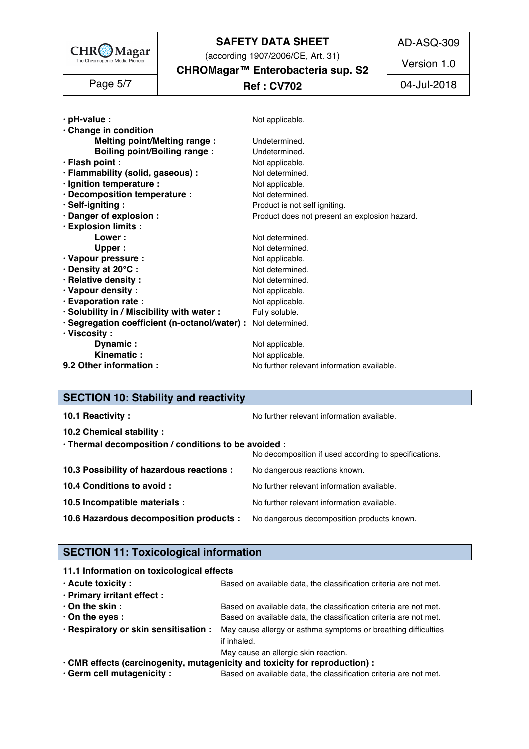

(according 1907/2006/CE, Art. 31)

AD-ASQ-309

**CHROMagar™ Enterobacteria sup. S2** Version 1.0

| -51<br>ade |  |
|------------|--|
|------------|--|

# **Ref : CV702** Page 5/7 04-Jul-2018

| $\cdot$ pH-value :                                            | Not applicable.                               |
|---------------------------------------------------------------|-----------------------------------------------|
| · Change in condition                                         |                                               |
| <b>Melting point/Melting range:</b>                           | Undetermined.                                 |
| <b>Boiling point/Boiling range:</b>                           | Undetermined.                                 |
| · Flash point :                                               | Not applicable.                               |
| · Flammability (solid, gaseous) :                             | Not determined.                               |
| · Ignition temperature :                                      | Not applicable.                               |
| · Decomposition temperature :                                 | Not determined.                               |
| · Self-igniting:                                              | Product is not self igniting.                 |
| · Danger of explosion :                                       | Product does not present an explosion hazard. |
| · Explosion limits :                                          |                                               |
| Lower:                                                        | Not determined.                               |
| <b>Upper</b>                                                  | Not determined.                               |
| · Vapour pressure :                                           | Not applicable.                               |
| · Density at 20°C:                                            | Not determined.                               |
| · Relative density:                                           | Not determined.                               |
| · Vapour density:                                             | Not applicable.                               |
| · Evaporation rate :                                          | Not applicable.                               |
| · Solubility in / Miscibility with water :                    | Fully soluble.                                |
| · Segregation coefficient (n-octanol/water) : Not determined. |                                               |
| $\cdot$ Viscosity :                                           |                                               |
| Dynamic:                                                      | Not applicable.                               |
| Kinematic:                                                    | Not applicable.                               |
| 9.2 Other information :                                       |                                               |

# **SECTION 10: Stability and reactivity**

| 10.1 Reactivity:                                                                   | No further relevant information available.            |
|------------------------------------------------------------------------------------|-------------------------------------------------------|
| 10.2 Chemical stability:                                                           |                                                       |
| · Thermal decomposition / conditions to be avoided :                               | No decomposition if used according to specifications. |
| 10.3 Possibility of hazardous reactions :                                          | No dangerous reactions known.                         |
| 10.4 Conditions to avoid :                                                         | No further relevant information available.            |
| 10.5 Incompatible materials :                                                      | No further relevant information available.            |
| 10.6 Hazardous decomposition products : No dangerous decomposition products known. |                                                       |

# **SECTION 11: Toxicological information**

| 11.1 Information on toxicological effects |                                                                                                     |
|-------------------------------------------|-----------------------------------------------------------------------------------------------------|
| $\cdot$ Acute toxicity :                  | Based on available data, the classification criteria are not met.                                   |
| · Primary irritant effect :               |                                                                                                     |
| $\cdot$ On the skin :                     | Based on available data, the classification criteria are not met.                                   |
| $\cdot$ On the eyes :                     | Based on available data, the classification criteria are not met.                                   |
|                                           | . Respiratory or skin sensitisation: May cause allergy or asthma symptoms or breathing difficulties |
|                                           | if inhaled.                                                                                         |
|                                           | May cause an allergic skin reaction.                                                                |
|                                           | · CMR effects (carcinogenity, mutagenicity and toxicity for reproduction) :                         |

**· Germ cell mutagenicity :** Based on available data, the classification criteria are not met.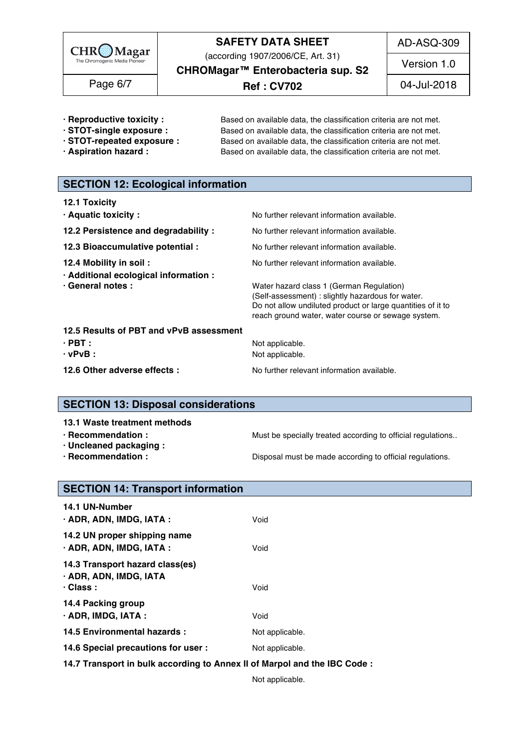

(according 1907/2006/CE, Art. 31)

AD-ASQ-309

**CHROMagar™ Enterobacteria sup. S2**

**Ref : CV702** Page 6/7 04-Jul-2018

Version 1.0

- 
- 
- 
- 

**· Reproductive toxicity :** Based on available data, the classification criteria are not met. **· STOT-single exposure :** Based on available data, the classification criteria are not met.<br>**· STOT-repeated exposure :** Based on available data, the classification criteria are not met. Based on available data, the classification criteria are not met. **· Aspiration hazard :** Based on available data, the classification criteria are not met.

# **SECTION 12: Ecological information**

| <b>12.1 Toxicity</b>                                            |                                                                                                                                                                                                                    |
|-----------------------------------------------------------------|--------------------------------------------------------------------------------------------------------------------------------------------------------------------------------------------------------------------|
| · Aquatic toxicity:                                             | No further relevant information available.                                                                                                                                                                         |
| 12.2 Persistence and degradability :                            | No further relevant information available.                                                                                                                                                                         |
| 12.3 Bioaccumulative potential :                                | No further relevant information available.                                                                                                                                                                         |
| 12.4 Mobility in soil:<br>· Additional ecological information : | No further relevant information available.                                                                                                                                                                         |
| · General notes :                                               | Water hazard class 1 (German Regulation)<br>(Self-assessment) : slightly hazardous for water.<br>Do not allow undiluted product or large quantities of it to<br>reach ground water, water course or sewage system. |
| 12.5 Results of PBT and vPvB assessment                         |                                                                                                                                                                                                                    |
| $\cdot$ PBT :<br>$\cdot$ vPvB :                                 | Not applicable.<br>Not applicable.                                                                                                                                                                                 |
| 12.6 Other adverse effects :                                    | No further relevant information available.                                                                                                                                                                         |

# **SECTION 13: Disposal considerations**

- 
- **· Uncleaned packaging :** 250
- 

**· Recommendation : Must be specially treated according to official regulations..** 

**· Recommendation : Disposal must be made according to official regulations.** 

# **SECTION 14: Transport information**

| 14.1 UN-Number<br>$\cdot$ ADR, ADN, IMDG, IATA :                             | Void            |  |  |
|------------------------------------------------------------------------------|-----------------|--|--|
| 14.2 UN proper shipping name<br>· ADR, ADN, IMDG, IATA :                     | Void            |  |  |
| 14.3 Transport hazard class(es)<br>· ADR, ADN, IMDG, IATA<br>$\cdot$ Class : | Void            |  |  |
| 14.4 Packing group<br>$\cdot$ ADR, IMDG, IATA :                              | Void            |  |  |
| 14.5 Environmental hazards :                                                 | Not applicable. |  |  |
| 14.6 Special precautions for user :                                          | Not applicable. |  |  |
|                                                                              |                 |  |  |

**14.7 Transport in bulk according to Annex II of Marpol and the IBC Code :** 266

Not applicable. 2677 and 2678 and 2678 and 2678 and 2678 and 2678 and 2678 and 2678 and 2678 and 2678 and 2678